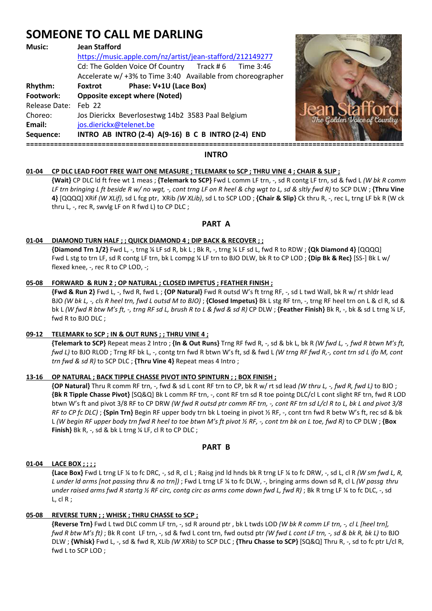# **SOMEONE TO CALL ME DARLING**

| <b>Music:</b>                                                                  | <b>Jean Stafford</b><br>https://music.apple.com/nz/artist/jean-stafford/212149277<br>Cd: The Golden Voice Of Country Track #6 Time 3:46<br>Accelerate w/ +3% to Time 3:40 Available from choreographer          |                                                    |
|--------------------------------------------------------------------------------|-----------------------------------------------------------------------------------------------------------------------------------------------------------------------------------------------------------------|----------------------------------------------------|
| Rhythm:<br>Footwork:<br>Release Date: Feb 22<br>Choreo:<br>Email:<br>Sequence: | Phase: V+1U (Lace Box)<br>Foxtrot<br><b>Opposite except where (Noted)</b><br>Jos Dierickx Beverlosestwg 14b2 3583 Paal Belgium<br>jos.dierickx@telenet.be<br>INTRO AB INTRO (2-4) A(9-16) B C B INTRO (2-4) END | <b>Can Stattorg</b><br>The Golden Voice of Country |



# **01-04 CP DLC LEAD FOOT FREE WAIT ONE MEASURE ; TELEMARK to SCP ; THRU VINE 4 ; CHAIR & SLIP ;**

 **{Wait}** CP DLC ld ft free wt 1 meas ; **{Telemark to SCP}** Fwd L comm LF trn, -, sd R contg LF trn, sd & fwd L *(W bk R comm LF trn bringing L ft beside R w/ no wgt, -, cont trng LF on R heel & chg wgt to L, sd & sltly fwd R)* to SCP DLW ; **{Thru Vine 4}** [QQQQ] XRif *(W XLif)*, sd L fcg ptr, XRib *(W XLib)*, sd L to SCP LOD ; **{Chair & Slip}** Ck thru R, -, rec L, trng LF bk R (W ck thru L, -, rec R, swvlg LF on R fwd L) to CP DLC ;

# **PART A**

## **01-04 DIAMOND TURN HALF ; ; QUICK DIAMOND 4 ; DIP BACK & RECOVER ; ;**

 **{Diamond Trn 1/2}** Fwd L, -, trng ¼ LF sd R, bk L ; Bk R, -, trng ¼ LF sd L, fwd R to RDW ; **{Qk Diamond 4}** [QQQQ] Fwd L stg to trn LF, sd R contg LF trn, bk L compg ¼ LF trn to BJO DLW, bk R to CP LOD ; **{Dip Bk & Rec}** [SS-] Bk L w/ flexed knee, -, rec R to CP LOD, -;

#### **05-08 FORWARD & RUN 2 ; OP NATURAL ; CLOSED IMPETUS ; FEATHER FINISH ;**

 **{Fwd & Run 2}** Fwd L, -, fwd R, fwd L ; **{OP Natural}** Fwd R outsd W's ft trng RF, -, sd L twd Wall, bk R w/ rt shldr lead BJO *(W bk L, -, cls R heel trn, fwd L outsd M to BJO)* ; **{Closed Impetus}** Bk L stg RF trn, -, trng RF heel trn on L & cl R, sd & bk L *(W fwd R btw M's ft, -, trng RF sd L, brush R to L & fwd & sd R)* CP DLW ; **{Feather Finish}** Bk R, -, bk & sd L trng ¼ LF, fwd R to BJO DLC ;

## **09-12 TELEMARK to SCP ; IN & OUT RUNS ; ; THRU VINE 4 ;**

 **{Telemark to SCP}** Repeat meas 2 Intro ; **{In & Out Runs}** Trng RF fwd R, -, sd & bk L, bk R *(W fwd L, -, fwd R btwn M's ft, fwd L)* to BJO RLOD ; Trng RF bk L, -, contg trn fwd R btwn W's ft, sd & fwd L *(W trng RF fwd R,-, cont trn sd L ifo M, cont trn fwd & sd R)* to SCP DLC ; **{Thru Vine 4}** Repeat meas 4 Intro ;

## **13-16 OP NATURAL ; BACK TIPPLE CHASSE PIVOT INTO SPINTURN ; ; BOX FINISH ;**

 **{OP Natural}** Thru R comm RF trn, -, fwd & sd L cont RF trn to CP, bk R w/ rt sd lead *(W thru L, -, fwd R, fwd L)* to BJO ;  **{Bk R Tipple Chasse Pivot}** [SQ&Q] Bk L comm RF trn, -, cont RF trn sd R toe pointg DLC/cl L cont slight RF trn, fwd R LOD btwn W's ft and pivot 3/8 RF to CP DRW *(W fwd R outsd ptr comm RF trn, -, cont RF trn sd L/cl R to L, bk L and pivot 3/8 RF to CP fc DLC)* ; **{Spin Trn}** Begin RF upper body trn bk L toeing in pivot ½ RF, -, cont trn fwd R betw W's ft, rec sd & bk L *(W begin RF upper body trn fwd R heel to toe btwn M's ft pivot ½ RF, -, cont trn bk on L toe, fwd R)* to CP DLW ; **{Box Finish}** Bk R, -, sd & bk L trng ¼ LF, cl R to CP DLC ;

## **PART B**

## **01-04 LACE BOX ; ; ; ;**

 **{Lace Box}** Fwd L trng LF ¼ to fc DRC, -, sd R, cl L ; Raisg jnd ld hnds bk R trng LF ¼ to fc DRW, -, sd L, cl R *(W sm fwd L, R, L under ld arms [not passing thru & no trn])* ; Fwd L trng LF ¼ to fc DLW, -, bringing arms down sd R, cl L *(W passg thru under raised arms fwd R startg ½ RF circ, contg circ as arms come down fwd L, fwd R)*; Bk R trng LF ¼ to fc DLC, -, sd  $L, cl R$ ;

## **05-08 REVERSE TURN ; ; WHISK ; THRU CHASSE to SCP ;**

 **{Reverse Trn}** Fwd L twd DLC comm LF trn, -, sd R around ptr , bk L twds LOD *(W bk R comm LF trn, -, cl L [heel trn], fwd R btw M's ft)* ; Bk R cont LF trn, -, sd & fwd L cont trn, fwd outsd ptr *(W fwd L cont LF trn, -, sd & bk R, bk L)* to BJO DLW ; **{Whisk}** Fwd L, -, sd & fwd R, XLib *(W XRib)* to SCP DLC ; **{Thru Chasse to SCP}** [SQ&Q] Thru R, -, sd to fc ptr L/cl R, fwd L to SCP LOD ;